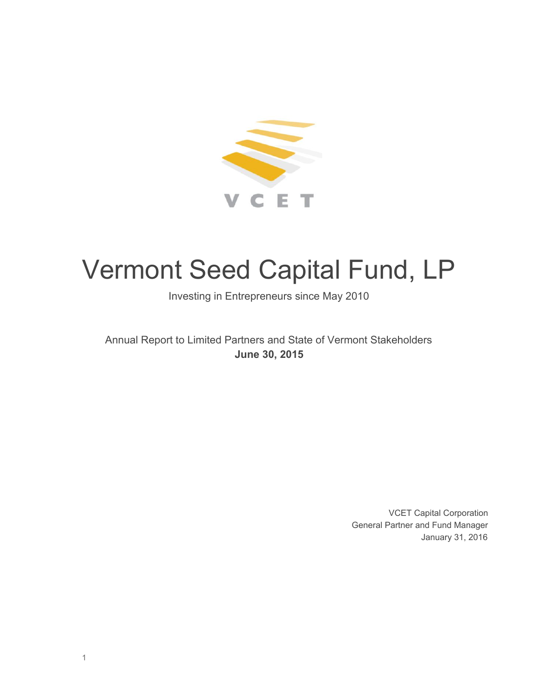

# Vermont Seed Capital Fund, LP

Investing in Entrepreneurs since May 2010

Annual Report to Limited Partners and State of Vermont Stakeholders **June 30, 2015**

> VCET Capital Corporation General Partner and Fund Manager January 31, 2016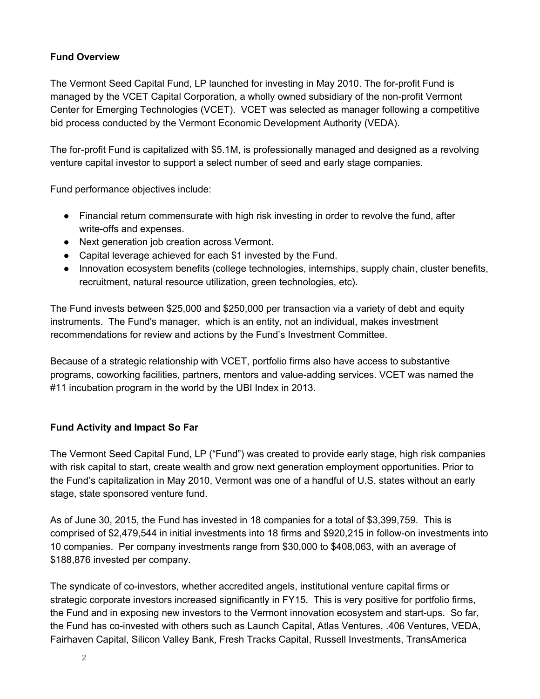#### **Fund Overview**

The Vermont Seed Capital Fund, LP launched for investing in May 2010. The for-profit Fund is managed by the VCET Capital Corporation, a wholly owned subsidiary of the non-profit Vermont Center for Emerging Technologies (VCET). VCET was selected as manager following a competitive bid process conducted by the Vermont Economic Development Authority (VEDA).

The for-profit Fund is capitalized with \$5.1M, is professionally managed and designed as a revolving venture capital investor to support a select number of seed and early stage companies.

Fund performance objectives include:

- Financial return commensurate with high risk investing in order to revolve the fund, after write-offs and expenses.
- Next generation job creation across Vermont.
- Capital leverage achieved for each \$1 invested by the Fund.
- Innovation ecosystem benefits (college technologies, internships, supply chain, cluster benefits, recruitment, natural resource utilization, green technologies, etc).

The Fund invests between \$25,000 and \$250,000 per transaction via a variety of debt and equity instruments. The Fund's manager, which is an entity, not an individual, makes investment recommendations for review and actions by the Fund's Investment Committee.

Because of a strategic relationship with VCET, portfolio firms also have access to substantive programs, coworking facilities, partners, mentors and value-adding services. VCET was named the #11 incubation program in the world by the UBI Index in 2013.

#### **Fund Activity and Impact So Far**

The Vermont Seed Capital Fund, LP ("Fund") was created to provide early stage, high risk companies with risk capital to start, create wealth and grow next generation employment opportunities. Prior to the Fund's capitalization in May 2010, Vermont was one of a handful of U.S. states without an early stage, state sponsored venture fund.

As of June 30, 2015, the Fund has invested in 18 companies for a total of \$3,399,759. This is comprised of \$2,479,544 in initial investments into 18 firms and \$920,215 in follow-on investments into 10 companies. Per company investments range from \$30,000 to \$408,063, with an average of \$188,876 invested per company.

The syndicate of co-investors, whether accredited angels, institutional venture capital firms or strategic corporate investors increased significantly in FY15. This is very positive for portfolio firms, the Fund and in exposing new investors to the Vermont innovation ecosystem and start-ups. So far, the Fund has co-invested with others such as Launch Capital, Atlas Ventures, .406 Ventures, VEDA, Fairhaven Capital, Silicon Valley Bank, Fresh Tracks Capital, Russell Investments, TransAmerica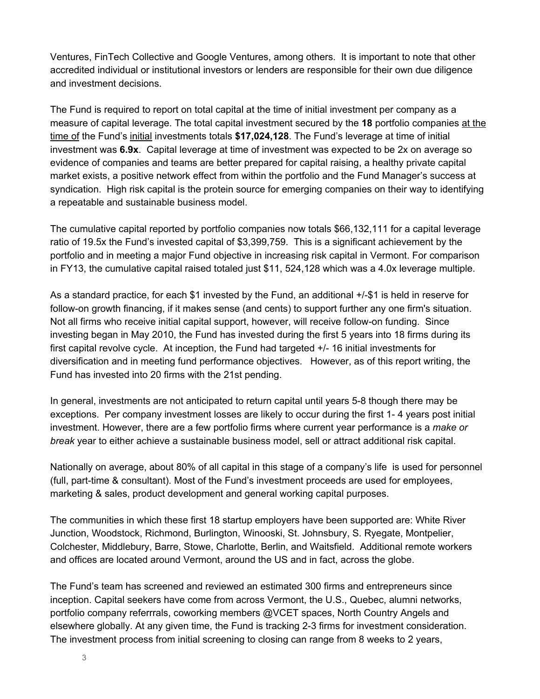Ventures, FinTech Collective and Google Ventures, among others. It is important to note that other accredited individual or institutional investors or lenders are responsible for their own due diligence and investment decisions.

The Fund is required to report on total capital at the time of initial investment per company as a measure of capital leverage. The total capital investment secured by the **18** portfolio companies at the time of the Fund's initial investments totals **\$17,024,128**. The Fund's leverage at time of initial investment was **6.9x**. Capital leverage at time of investment was expected to be 2x on average so evidence of companies and teams are better prepared for capital raising, a healthy private capital market exists, a positive network effect from within the portfolio and the Fund Manager's success at syndication. High risk capital is the protein source for emerging companies on their way to identifying a repeatable and sustainable business model.

The cumulative capital reported by portfolio companies now totals \$66,132,111 for a capital leverage ratio of 19.5x the Fund's invested capital of \$3,399,759. This is a significant achievement by the portfolio and in meeting a major Fund objective in increasing risk capital in Vermont. For comparison in FY13, the cumulative capital raised totaled just \$11, 524,128 which was a 4.0x leverage multiple.

As a standard practice, for each \$1 invested by the Fund, an additional  $+/-$ \$1 is held in reserve for follow-on growth financing, if it makes sense (and cents) to support further any one firm's situation. Not all firms who receive initial capital support, however, will receive follow-on funding. Since investing began in May 2010, the Fund has invested during the first 5 years into 18 firms during its first capital revolve cycle. At inception, the Fund had targeted  $+/-16$  initial investments for diversification and in meeting fund performance objectives. However, as of this report writing, the Fund has invested into 20 firms with the 21st pending.

In general, investments are not anticipated to return capital until years 5-8 though there may be exceptions. Per company investment losses are likely to occur during the first 1-4 years post initial investment. However, there are a few portfolio firms where current year performance is a *make or break* year to either achieve a sustainable business model, sell or attract additional risk capital.

Nationally on average, about 80% of all capital in this stage of a company's life is used for personnel (full, part-time & consultant). Most of the Fund's investment proceeds are used for employees, marketing & sales, product development and general working capital purposes.

The communities in which these first 18 startup employers have been supported are: White River Junction, Woodstock, Richmond, Burlington, Winooski, St. Johnsbury, S. Ryegate, Montpelier, Colchester, Middlebury, Barre, Stowe, Charlotte, Berlin, and Waitsfield. Additional remote workers and offices are located around Vermont, around the US and in fact, across the globe.

The Fund's team has screened and reviewed an estimated 300 firms and entrepreneurs since inception. Capital seekers have come from across Vermont, the U.S., Quebec, alumni networks, portfolio company referrrals, coworking members @VCET spaces, North Country Angels and elsewhere globally. At any given time, the Fund is tracking 23 firms for investment consideration. The investment process from initial screening to closing can range from 8 weeks to 2 years,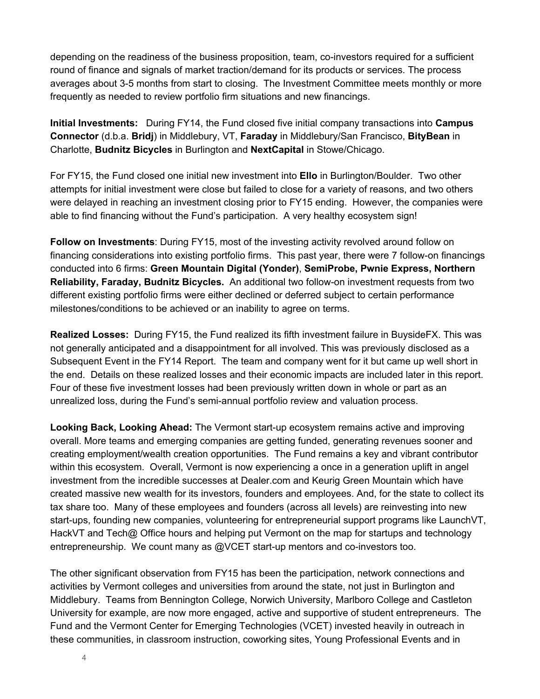depending on the readiness of the business proposition, team, co-investors required for a sufficient round of finance and signals of market traction/demand for its products or services. The process averages about 3-5 months from start to closing. The Investment Committee meets monthly or more frequently as needed to review portfolio firm situations and new financings.

**Initial Investments:** During FY14, the Fund closed five initial company transactions into **Campus Connector** (d.b.a. **Bridj**) in Middlebury, VT, **Faraday** in Middlebury/San Francisco, **BityBean** in Charlotte, **Budnitz Bicycles** in Burlington and **NextCapital** in Stowe/Chicago.

For FY15, the Fund closed one initial new investment into **Ello** in Burlington/Boulder. Two other attempts for initial investment were close but failed to close for a variety of reasons, and two others were delayed in reaching an investment closing prior to FY15 ending. However, the companies were able to find financing without the Fund's participation. A very healthy ecosystem sign!

**Follow on Investments**: During FY15, most of the investing activity revolved around follow on financing considerations into existing portfolio firms. This past year, there were 7 follow-on financings conducted into 6 firms: **Green Mountain Digital (Yonder)**, **SemiProbe, Pwnie Express, Northern Reliability, Faraday, Budnitz Bicycles.** An additional two followon investment requests from two different existing portfolio firms were either declined or deferred subject to certain performance milestones/conditions to be achieved or an inability to agree on terms.

**Realized Losses:** During FY15, the Fund realized its fifth investment failure in BuysideFX. This was not generally anticipated and a disappointment for all involved. This was previously disclosed as a Subsequent Event in the FY14 Report. The team and company went for it but came up well short in the end. Details on these realized losses and their economic impacts are included later in this report. Four of these five investment losses had been previously written down in whole or part as an unrealized loss, during the Fund's semi-annual portfolio review and valuation process.

**Looking Back, Looking Ahead:** The Vermont start-up ecosystem remains active and improving overall. More teams and emerging companies are getting funded, generating revenues sooner and creating employment/wealth creation opportunities. The Fund remains a key and vibrant contributor within this ecosystem. Overall, Vermont is now experiencing a once in a generation uplift in angel investment from the incredible successes at Dealer.com and Keurig Green Mountain which have created massive new wealth for its investors, founders and employees. And, for the state to collect its tax share too. Many of these employees and founders (across all levels) are reinvesting into new start-ups, founding new companies, volunteering for entrepreneurial support programs like LaunchVT, HackVT and Tech@ Office hours and helping put Vermont on the map for startups and technology entrepreneurship. We count many as  $@VCET$  start-up mentors and co-investors too.

The other significant observation from FY15 has been the participation, network connections and activities by Vermont colleges and universities from around the state, not just in Burlington and Middlebury. Teams from Bennington College, Norwich University, Marlboro College and Castleton University for example, are now more engaged, active and supportive of student entrepreneurs. The Fund and the Vermont Center for Emerging Technologies (VCET) invested heavily in outreach in these communities, in classroom instruction, coworking sites, Young Professional Events and in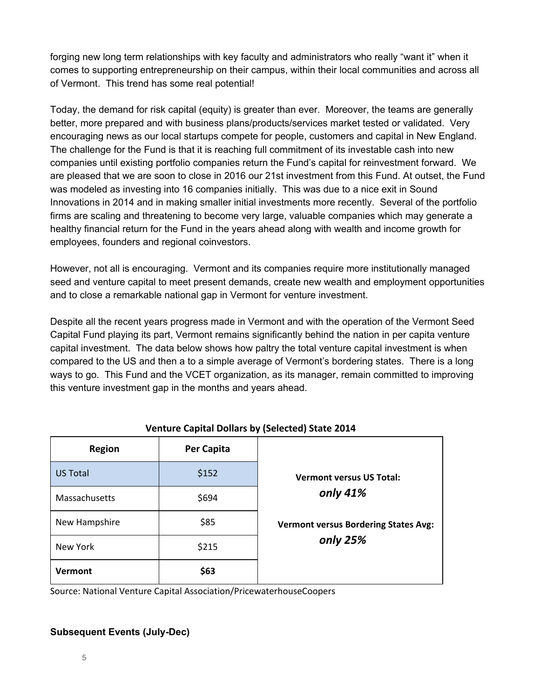forging new long term relationships with key faculty and administrators who really "want it" when it comes to supporting entrepreneurship on their campus, within their local communities and across all of Vermont. This trend has some real potential!

Today, the demand for risk capital (equity) is greater than ever. Moreover, the teams are generally better, more prepared and with business plans/products/services market tested or validated. Very encouraging news as our local startups compete for people, customers and capital in New England. The challenge for the Fund is that it is reaching full commitment of its investable cash into new companies until existing portfolio companies return the Fund's capital for reinvestment forward. We are pleased that we are soon to close in 2016 our 21st investment from this Fund. At outset, the Fund was modeled as investing into 16 companies initially. This was due to a nice exit in Sound Innovations in 2014 and in making smaller initial investments more recently. Several of the portfolio firms are scaling and threatening to become very large, valuable companies which may generate a healthy financial return for the Fund in the years ahead along with wealth and income growth for employees, founders and regional coinvestors.

However, not all is encouraging. Vermont and its companies require more institutionally managed seed and venture capital to meet present demands, create new wealth and employment opportunities and to close a remarkable national gap in Vermont for venture investment.

Despite all the recent years progress made in Vermont and with the operation of the Vermont Seed Capital Fund playing its part, Vermont remains significantly behind the nation in per capita venture capital investment. The data below shows how paltry the total venture capital investment is when compared to the US and then a to a simple average of Vermont's bordering states. There is a long ways to go. This Fund and the VCET organization, as its manager, remain committed to improving this venture investment gap in the months and years ahead.

| <b>Region</b>   | Per Capita |                                             |
|-----------------|------------|---------------------------------------------|
| <b>US Total</b> | \$152      | <b>Vermont versus US Total:</b>             |
| Massachusetts   | \$694      | only 41%                                    |
| New Hampshire   | \$85       | <b>Vermont versus Bordering States Avg:</b> |
| New York        | \$215      | only 25%                                    |
| Vermont         | \$63       |                                             |

### Venture Capital Dollars by (Selected) State 2014

Source: National Venture Capital Association/PricewaterhouseCoopers

#### **Subsequent Events (July-Dec)**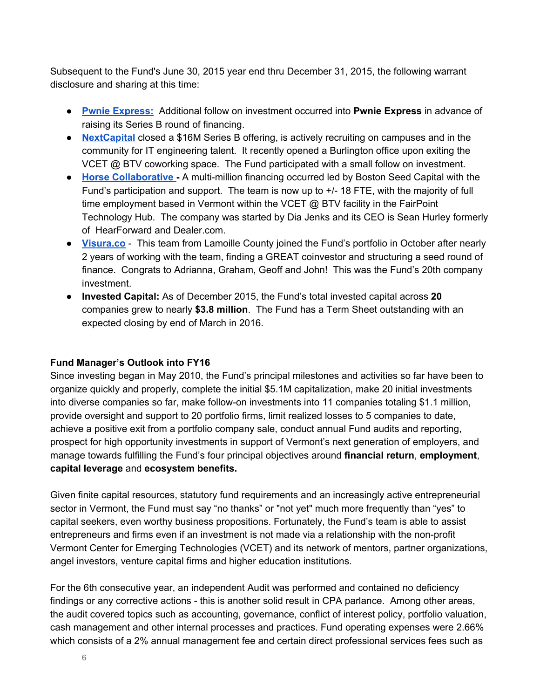Subsequent to the Fund's June 30, 2015 year end thru December 31, 2015, the following warrant disclosure and sharing at this time:

- **Pwnie [Express:](https://www.pwnieexpress.com/)** Additional follow on investment occurred into **Pwnie Express** in advance of raising its Series B round of financing.
- **[NextCapital](https://www.nextcapital.com/)** closed a \$16M Series B offering, is actively recruiting on campuses and in the community for IT engineering talent. It recently opened a Burlington office upon exiting the VCET @ BTV coworking space. The Fund participated with a small follow on investment.
- **Horse [Collaborative](http://www.horsecollaborative.com/)** A multi-million financing occurred led by Boston Seed Capital with the Fund's participation and support. The team is now up to  $+/-18$  FTE, with the majority of full time employment based in Vermont within the VCET @ BTV facility in the FairPoint Technology Hub. The company was started by Dia Jenks and its CEO is Sean Hurley formerly of HearForward and Dealer.com.
- **[Visura.co](http://visura.co/)** This team from Lamoille County joined the Fund's portfolio in October after nearly 2 years of working with the team, finding a GREAT coinvestor and structuring a seed round of finance. Congrats to Adrianna, Graham, Geoff and John! This was the Fund's 20th company investment.
- **Invested Capital:** As of December 2015, the Fund's total invested capital across **20** companies grew to nearly **\$3.8 million**. The Fund has a Term Sheet outstanding with an expected closing by end of March in 2016.

#### **Fund Manager's Outlook into FY16**

Since investing began in May 2010, the Fund's principal milestones and activities so far have been to organize quickly and properly, complete the initial \$5.1M capitalization, make 20 initial investments into diverse companies so far, make follow-on investments into 11 companies totaling \$1.1 million, provide oversight and support to 20 portfolio firms, limit realized losses to 5 companies to date, achieve a positive exit from a portfolio company sale, conduct annual Fund audits and reporting, prospect for high opportunity investments in support of Vermont's next generation of employers, and manage towards fulfilling the Fund's four principal objectives around **financial return**, **employment**, **capital leverage** and **ecosystem benefits.**

Given finite capital resources, statutory fund requirements and an increasingly active entrepreneurial sector in Vermont, the Fund must say "no thanks" or "not yet" much more frequently than "yes" to capital seekers, even worthy business propositions. Fortunately, the Fund's team is able to assist entrepreneurs and firms even if an investment is not made via a relationship with the non-profit Vermont Center for Emerging Technologies (VCET) and its network of mentors, partner organizations, angel investors, venture capital firms and higher education institutions.

For the 6th consecutive year, an independent Audit was performed and contained no deficiency findings or any corrective actions - this is another solid result in CPA parlance. Among other areas, the audit covered topics such as accounting, governance, conflict of interest policy, portfolio valuation, cash management and other internal processes and practices. Fund operating expenses were 2.66% which consists of a 2% annual management fee and certain direct professional services fees such as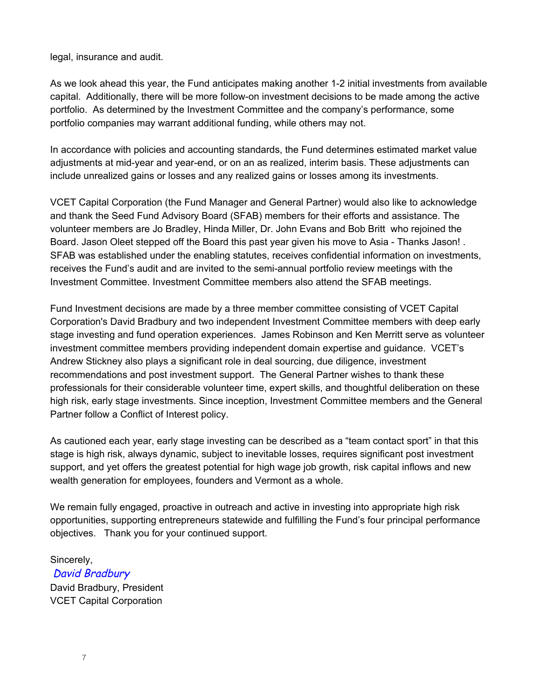legal, insurance and audit.

As we look ahead this year, the Fund anticipates making another 12 initial investments from available capital. Additionally, there will be more follow-on investment decisions to be made among the active portfolio. As determined by the Investment Committee and the company's performance, some portfolio companies may warrant additional funding, while others may not.

In accordance with policies and accounting standards, the Fund determines estimated market value adjustments at mid-year and year-end, or on an as realized, interim basis. These adjustments can include unrealized gains or losses and any realized gains or losses among its investments.

VCET Capital Corporation (the Fund Manager and General Partner) would also like to acknowledge and thank the Seed Fund Advisory Board (SFAB) members for their efforts and assistance. The volunteer members are Jo Bradley, Hinda Miller, Dr. John Evans and Bob Britt who rejoined the Board. Jason Oleet stepped off the Board this past year given his move to Asia - Thanks Jason!. SFAB was established under the enabling statutes, receives confidential information on investments, receives the Fund's audit and are invited to the semi-annual portfolio review meetings with the Investment Committee. Investment Committee members also attend the SFAB meetings.

Fund Investment decisions are made by a three member committee consisting of VCET Capital Corporation's David Bradbury and two independent Investment Committee members with deep early stage investing and fund operation experiences. James Robinson and Ken Merritt serve as volunteer investment committee members providing independent domain expertise and guidance. VCET's Andrew Stickney also plays a significant role in deal sourcing, due diligence, investment recommendations and post investment support. The General Partner wishes to thank these professionals for their considerable volunteer time, expert skills, and thoughtful deliberation on these high risk, early stage investments. Since inception, Investment Committee members and the General Partner follow a Conflict of Interest policy.

As cautioned each year, early stage investing can be described as a "team contact sport" in that this stage is high risk, always dynamic, subject to inevitable losses, requires significant post investment support, and yet offers the greatest potential for high wage job growth, risk capital inflows and new wealth generation for employees, founders and Vermont as a whole.

We remain fully engaged, proactive in outreach and active in investing into appropriate high risk opportunities, supporting entrepreneurs statewide and fulfilling the Fund's four principal performance objectives. Thank you for your continued support.

Sincerely, David Bradbury David Bradbury, President VCET Capital Corporation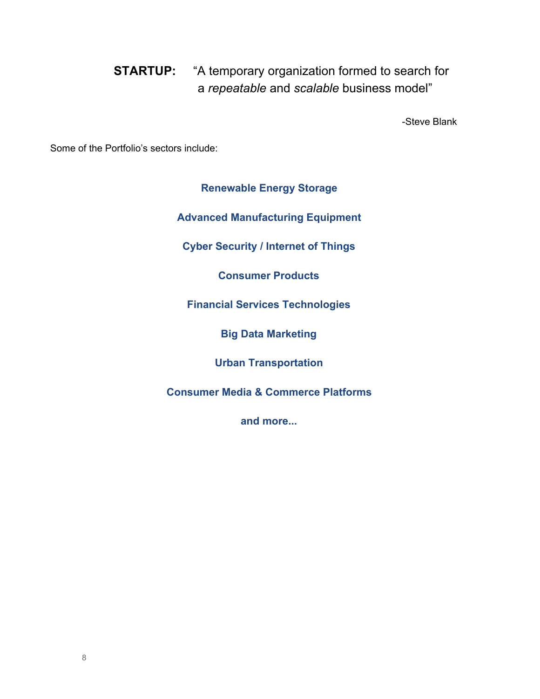**STARTUP:** "A temporary organization formed to search for a *repeatable* and *scalable* business model"

Steve Blank

Some of the Portfolio's sectors include:

**Renewable Energy Storage**

**Advanced Manufacturing Equipment**

**Cyber Security / Internet of Things**

**Consumer Products**

**Financial Services Technologies**

**Big Data Marketing**

**Urban Transportation**

**Consumer Media & Commerce Platforms**

**and more...**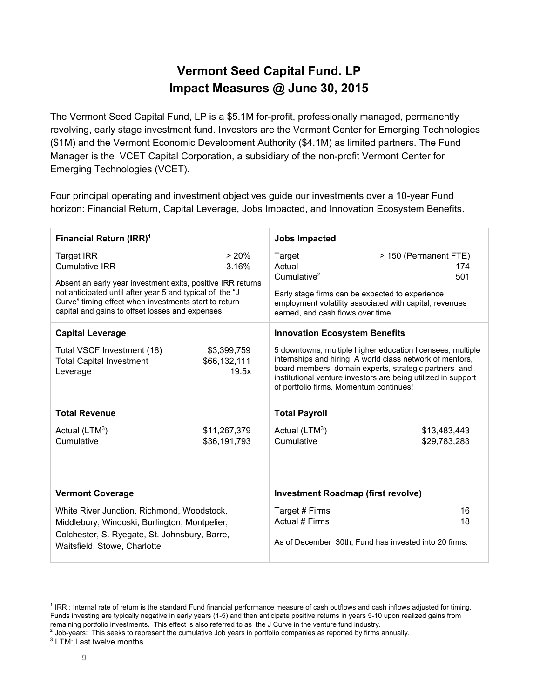### **Vermont Seed Capital Fund. LP Impact Measures @ June 30, 2015**

The Vermont Seed Capital Fund, LP is a \$5.1M for-profit, professionally managed, permanently revolving, early stage investment fund. Investors are the Vermont Center for Emerging Technologies (\$1M) and the Vermont Economic Development Authority (\$4.1M) as limited partners. The Fund Manager is the VCET Capital Corporation, a subsidiary of the non-profit Vermont Center for Emerging Technologies (VCET).

Four principal operating and investment objectives guide our investments over a 10-year Fund horizon: Financial Return, Capital Leverage, Jobs Impacted, and Innovation Ecosystem Benefits.

| Financial Return (IRR) <sup>1</sup>                                                                                                                                                                                                                                                |                                      | <b>Jobs Impacted</b>                                                                                                                                                                                                                                                                         |  |
|------------------------------------------------------------------------------------------------------------------------------------------------------------------------------------------------------------------------------------------------------------------------------------|--------------------------------------|----------------------------------------------------------------------------------------------------------------------------------------------------------------------------------------------------------------------------------------------------------------------------------------------|--|
| <b>Target IRR</b><br><b>Cumulative IRR</b><br>Absent an early year investment exits, positive IRR returns<br>not anticipated until after year 5 and typical of the "J<br>Curve" timing effect when investments start to return<br>capital and gains to offset losses and expenses. | > 20%<br>$-3.16%$                    | Target<br>> 150 (Permanent FTE)<br>Actual<br>174<br>Cumulative $2$<br>501<br>Early stage firms can be expected to experience<br>employment volatility associated with capital, revenues<br>earned, and cash flows over time.                                                                 |  |
| <b>Capital Leverage</b>                                                                                                                                                                                                                                                            |                                      | <b>Innovation Ecosystem Benefits</b>                                                                                                                                                                                                                                                         |  |
| Total VSCF Investment (18)<br><b>Total Capital Investment</b><br>Leverage                                                                                                                                                                                                          | \$3,399,759<br>\$66,132,111<br>19.5x | 5 downtowns, multiple higher education licensees, multiple<br>internships and hiring. A world class network of mentors,<br>board members, domain experts, strategic partners and<br>institutional venture investors are being utilized in support<br>of portfolio firms. Momentum continues! |  |
| <b>Total Revenue</b>                                                                                                                                                                                                                                                               |                                      | <b>Total Payroll</b>                                                                                                                                                                                                                                                                         |  |
| Actual $(LTM^3)$<br>Cumulative                                                                                                                                                                                                                                                     | \$11,267,379<br>\$36,191,793         | Actual $(LTM^3)$<br>\$13,483,443<br>Cumulative<br>\$29,783,283                                                                                                                                                                                                                               |  |
| <b>Vermont Coverage</b>                                                                                                                                                                                                                                                            |                                      | <b>Investment Roadmap (first revolve)</b>                                                                                                                                                                                                                                                    |  |
| White River Junction, Richmond, Woodstock,<br>Middlebury, Winooski, Burlington, Montpelier,<br>Colchester, S. Ryegate, St. Johnsbury, Barre,<br>Waitsfield, Stowe, Charlotte                                                                                                       |                                      | Target # Firms<br>16<br>Actual # Firms<br>18<br>As of December 30th, Fund has invested into 20 firms.                                                                                                                                                                                        |  |

<sup>&</sup>lt;sup>1</sup> IRR : Internal rate of return is the standard Fund financial performance measure of cash outflows and cash inflows adjusted for timing. Funds investing are typically negative in early years (1-5) and then anticipate positive returns in years 5-10 upon realized gains from remaining portfolio investments. This effect is also referred to as the J Curve in the venture fund industry.

 $2$  Job-years: This seeks to represent the cumulative Job years in portfolio companies as reported by firms annually.

<sup>&</sup>lt;sup>3</sup> LTM: Last twelve months.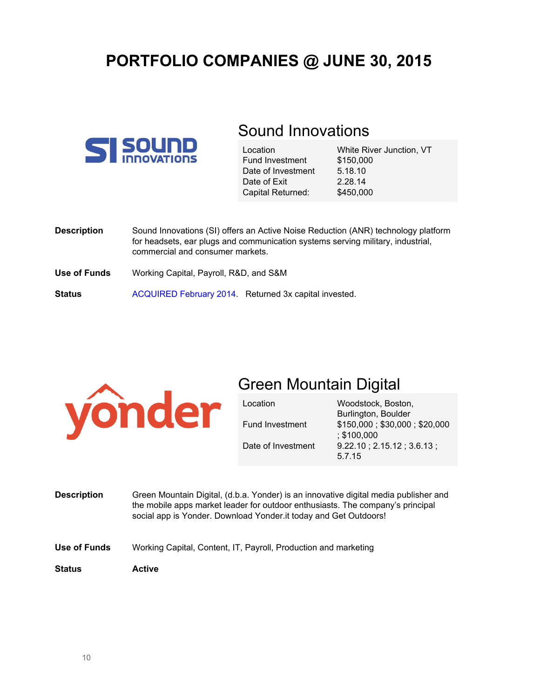# **PORTFOLIO COMPANIES @ JUNE 30, 2015**



### Sound Innovations

| Location               | W  |
|------------------------|----|
| <b>Fund Investment</b> | \$ |
| Date of Investment     | 5  |
| Date of Exit           | 2  |
| Capital Returned:      | \$ |

White River Junction, VT \$150,000 5.18.10  $.28.14$ 450,000

| <b>Description</b> | Sound Innovations (SI) offers an Active Noise Reduction (ANR) technology platform<br>for headsets, ear plugs and communication systems serving military, industrial,<br>commercial and consumer markets. |
|--------------------|----------------------------------------------------------------------------------------------------------------------------------------------------------------------------------------------------------|
| Use of Funds       | Working Capital, Payroll, R&D, and S&M                                                                                                                                                                   |
| <b>Status</b>      | ACQUIRED February 2014. Returned 3x capital invested.                                                                                                                                                    |



### Green Mountain Digital

Fund Investment

Date of Investment

Location

Woodstock, Boston, Burlington, Boulder \$150,000 ; \$30,000 ; \$20,000 ; \$100,000 9.22.10 ; 2.15.12 ; 3.6.13 ; 5.7.15

- **Description** Green Mountain Digital, (d.b.a. Yonder) is an innovative digital media publisher and the mobile apps market leader for outdoor enthusiasts. The company's principal social app is Yonder. Download Yonder.it today and Get Outdoors!
- **Use of Funds** Working Capital, Content, IT, Payroll, Production and marketing
- **Status Active**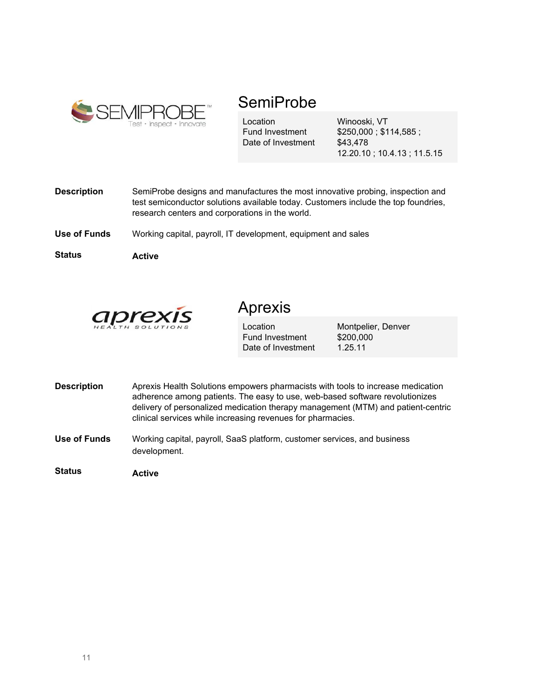

### SemiProbe

Location Fund Investment Date of Investment Winooski, VT \$250,000 ; \$114,585 ; \$43,478 12.20.10 ; 10.4.13 ; 11.5.15

- **Description** SemiProbe designs and manufactures the most innovative probing, inspection and test semiconductor solutions available today. Customers include the top foundries, research centers and corporations in the world.
- **Use of Funds** Working capital, payroll, IT development, equipment and sales

**Status Active**



### Aprexis

**Location** Fund Investment Date of Investment Montpelier, Denver \$200,000 1.25.11

- **Description** Aprexis Health Solutions empowers pharmacists with tools to increase medication adherence among patients. The easy to use, web-based software revolutionizes delivery of personalized medication therapy management (MTM) and patient-centric clinical services while increasing revenues for pharmacies.
- **Use of Funds** Working capital, payroll, SaaS platform, customer services, and business development.

**Status Active**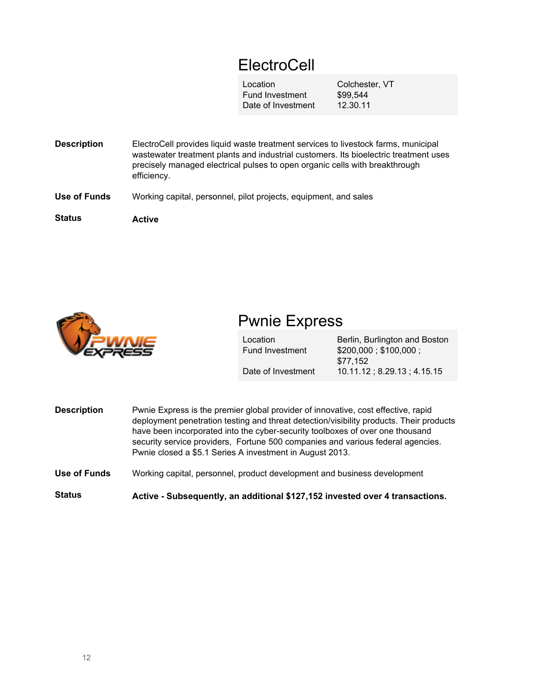# ElectroCell

Location Fund Investment Date of Investment

Colchester, VT \$99,544 12.30.11

**Description Use of Funds Status** ElectroCell provides liquid waste treatment services to livestock farms, municipal wastewater treatment plants and industrial customers. Its bioelectric treatment uses precisely managed electrical pulses to open organic cells with breakthrough efficiency. Working capital, personnel, pilot projects, equipment, and sales **Active**



### Pwnie Express

| Location               | Berlin, Burlington and Boston |
|------------------------|-------------------------------|
| <b>Fund Investment</b> | \$200,000; \$100,000;         |
|                        | \$77.152                      |
| Date of Investment     | $10.11.12$ ; 8.29.13; 4.15.15 |

- **Description** Pwnie Express is the premier global provider of innovative, cost effective, rapid deployment penetration testing and threat detection/visibility products. Their products have been incorporated into the cyber-security toolboxes of over one thousand security service providers, Fortune 500 companies and various federal agencies. Pwnie closed a \$5.1 Series A investment in August 2013.
- **Use of Funds** Working capital, personnel, product development and business development

**Status Active Subsequently, an additional \$127,152 invested over 4 transactions.**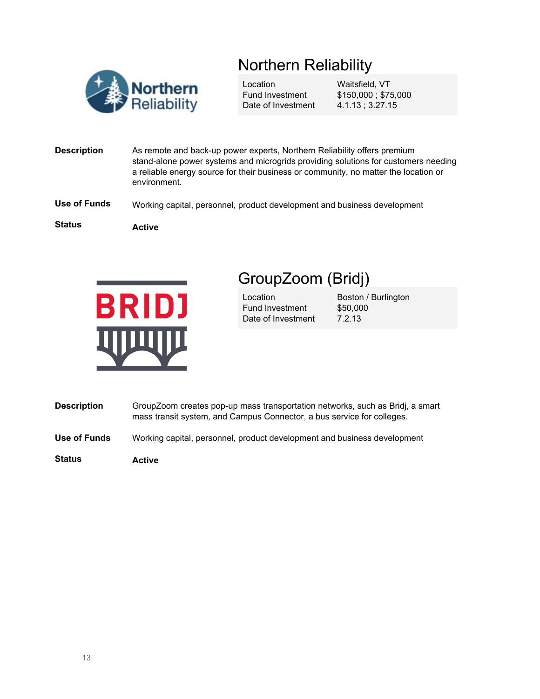# Northern Reliability



Location Fund Investment Date of Investment Waitsfield, VT \$150,000 ; \$75,000 4.1.13 ; 3.27.15

- **Description** As remote and back-up power experts, Northern Reliability offers premium stand-alone power systems and microgrids providing solutions for customers needing a reliable energy source for their business or community, no matter the location or environment.
- **Use of Funds** Working capital, personnel, product development and business development

**Status**

**Active**



# GroupZoom (Bridj)

Location Fund Investment Date of Investment Boston / Burlington \$50,000 7.2.13

- **Description** GroupZoom creates pop-up mass transportation networks, such as Bridj, a smart mass transit system, and Campus Connector, a bus service for colleges.
- **Use of Funds** Working capital, personnel, product development and business development

**Status Active**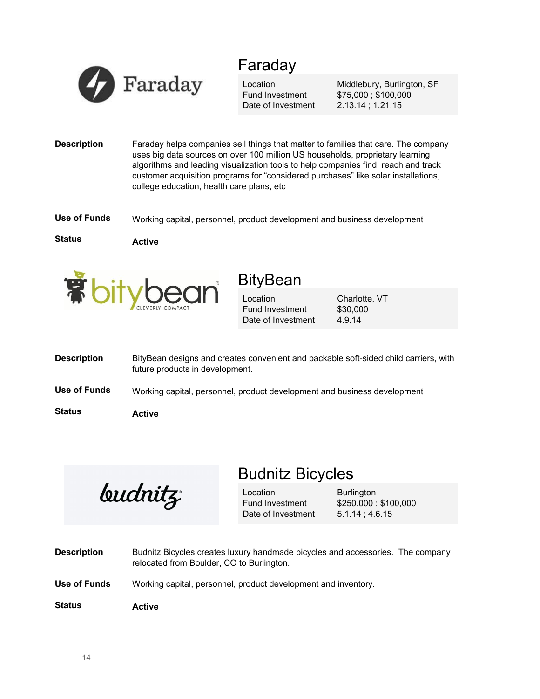

### Faraday

Location Fund Investment Date of Investment

Middlebury, Burlington, SF \$75,000 ; \$100,000 2.13.14 ; 1.21.15

**Description** Faraday helps companies sell things that matter to families that care. The company uses big data sources on over 100 million US households, proprietary learning algorithms and leading visualization tools to help companies find, reach and track customer acquisition programs for "considered purchases" like solar installations, college education, health care plans, etc

**Use of Funds** Working capital, personnel, product development and business development

**Status**

**Active**



### **BityBean**

Location Fund Investment Date of Investment

Charlotte, VT \$30,000 4.9.14

| <b>Description</b> | BityBean designs and creates convenient and packable soft-sided child carriers, with<br>future products in development. |
|--------------------|-------------------------------------------------------------------------------------------------------------------------|
| Use of Funds       | Working capital, personnel, product development and business development                                                |
| <b>Status</b>      | Active                                                                                                                  |

*budnitz* 

### Budnitz Bicycles

Location Fund Investment Date of Investment **Burlington** \$250,000 ; \$100,000 5.1.14 ; 4.6.15

- **Description** Budnitz Bicycles creates luxury handmade bicycles and accessories. The company relocated from Boulder, CO to Burlington.
- **Use of Funds** Working capital, personnel, product development and inventory.
- **Status Active**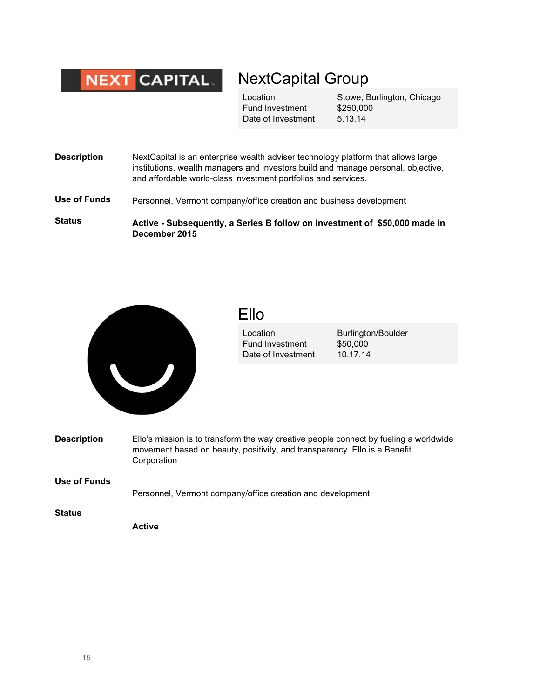

### NextCapital Group

Location Fund Investment Date of Investment

Stowe, Burlington, Chicago \$250,000 5.13.14

- **Description** NextCapital is an enterprise wealth adviser technology platform that allows large institutions, wealth managers and investors build and manage personal, objective, and affordable world-class investment portfolios and services.
- **Use of Funds** Personnel, Vermont company/office creation and business development

**Status Active Subsequently, a Series B follow on investment of \$50,000 made in December 2015**



### Ello

Location Fund Investment Date of Investment Burlington/Boulder \$50,000 10.17.14

**Description** Ello's mission is to transform the way creative people connect by fueling a worldwide movement based on beauty, positivity, and transparency. Ello is a Benefit Corporation

### **Use of Funds** Personnel, Vermont company/office creation and development

**Status**

**Active**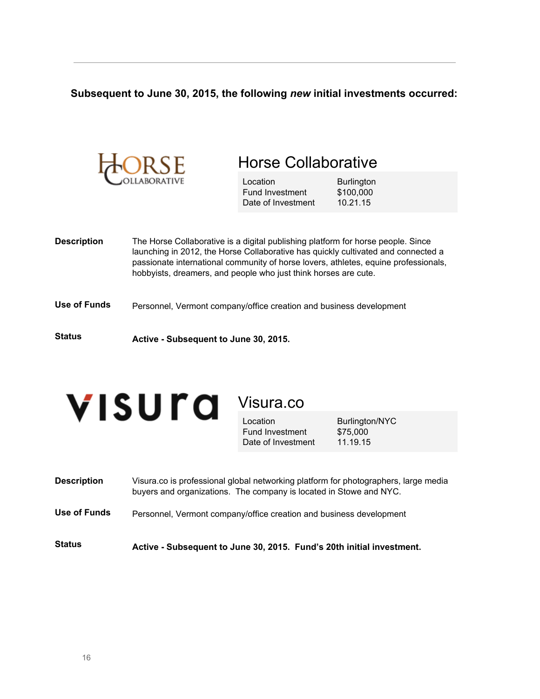### **Subsequent to June 30, 2015, the following** *new* **initial investments occurred:**

| ORSE               |                                                                                                                                                     | <b>Horse Collaborative</b>                        |                                                                                                                                                                          |
|--------------------|-----------------------------------------------------------------------------------------------------------------------------------------------------|---------------------------------------------------|--------------------------------------------------------------------------------------------------------------------------------------------------------------------------|
|                    |                                                                                                                                                     | Location<br>Fund Investment<br>Date of Investment | <b>Burlington</b><br>\$100,000<br>10.21.15                                                                                                                               |
| <b>Description</b> | The Horse Collaborative is a digital publishing platform for horse people. Since<br>hobbyists, dreamers, and people who just think horses are cute. |                                                   | launching in 2012, the Horse Collaborative has quickly cultivated and connected a<br>passionate international community of horse lovers, athletes, equine professionals, |
| Use of Funds       | Personnel, Vermont company/office creation and business development                                                                                 |                                                   |                                                                                                                                                                          |
| <b>Status</b>      | Active - Subsequent to June 30, 2015.                                                                                                               |                                                   |                                                                                                                                                                          |



Visura.co

Location Fund Investment Date of Investment Burlington/NYC \$75,000 11.19.15

| <b>Status</b>      | Active - Subsequent to June 30, 2015. Fund's 20th initial investment.                                                                                     |
|--------------------|-----------------------------------------------------------------------------------------------------------------------------------------------------------|
| Use of Funds       | Personnel, Vermont company/office creation and business development                                                                                       |
| <b>Description</b> | Visura.co is professional global networking platform for photographers, large media<br>buyers and organizations. The company is located in Stowe and NYC. |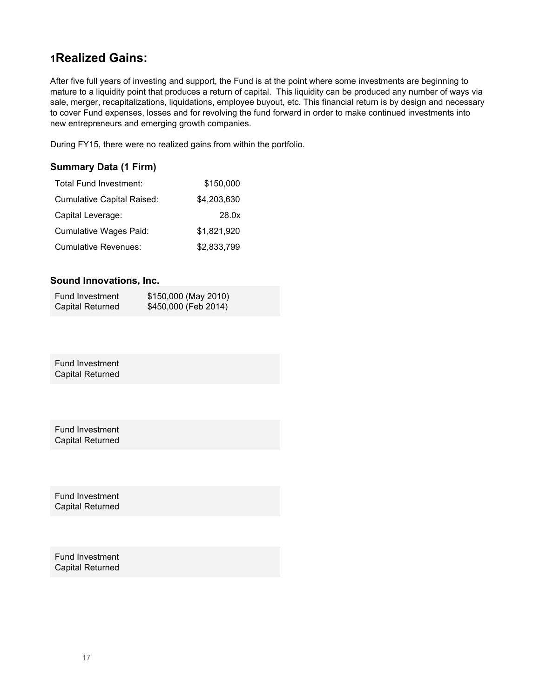### **<sup>1</sup>Realized Gains:**

After five full years of investing and support, the Fund is at the point where some investments are beginning to mature to a liquidity point that produces a return of capital. This liquidity can be produced any number of ways via sale, merger, recapitalizations, liquidations, employee buyout, etc. This financial return is by design and necessary to cover Fund expenses, losses and for revolving the fund forward in order to make continued investments into new entrepreneurs and emerging growth companies.

During FY15, there were no realized gains from within the portfolio.

#### **Summary Data (1 Firm)**

| Total Fund Investment:            | \$150,000   |
|-----------------------------------|-------------|
| <b>Cumulative Capital Raised:</b> | \$4,203,630 |
| Capital Leverage:                 | 28.0x       |
| Cumulative Wages Paid:            | \$1,821,920 |
| <b>Cumulative Revenues:</b>       | \$2,833,799 |

#### **Sound Innovations, Inc.**

| Fund Investment         | \$150,000 (May 2010) |
|-------------------------|----------------------|
| <b>Capital Returned</b> | \$450,000 (Feb 2014) |

Fund Investment Capital Returned

Fund Investment Capital Returned

Fund Investment Capital Returned

Fund Investment Capital Returned